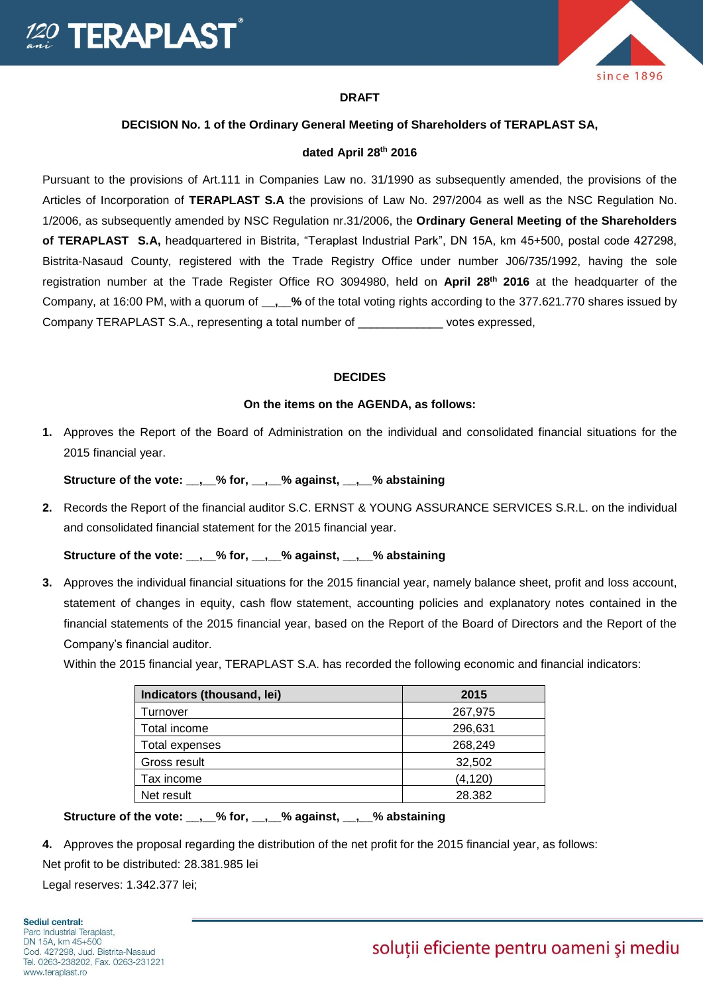



#### **DRAFT**

## **DECISION No. 1 of the Ordinary General Meeting of Shareholders of TERAPLAST SA,**

### **dated April 28th 2016**

Pursuant to the provisions of Art.111 in Companies Law no. 31/1990 as subsequently amended, the provisions of the Articles of Incorporation of **TERAPLAST S.A** the provisions of Law No. 297/2004 as well as the NSC Regulation No. 1/2006, as subsequently amended by NSC Regulation nr.31/2006, the **Ordinary General Meeting of the Shareholders of TERAPLAST S.A,** headquartered in Bistrita, "Teraplast Industrial Park", DN 15A, km 45+500, postal code 427298, Bistrita-Nasaud County, registered with the Trade Registry Office under number J06/735/1992, having the sole registration number at the Trade Register Office RO 3094980, held on **April 28th 2016** at the headquarter of the Company, at 16:00 PM, with a quorum of **\_\_,\_\_%** of the total voting rights according to the 377.621.770 shares issued by Company TERAPLAST S.A., representing a total number of \_\_\_\_\_\_\_\_\_\_\_\_\_ votes expressed,

## **DECIDES**

### **On the items on the AGENDA, as follows:**

**1.** Approves the Report of the Board of Administration on the individual and consolidated financial situations for the 2015 financial year.

**Structure of the vote: \_\_,\_\_% for, \_\_,\_\_% against, \_\_,\_\_% abstaining**

**2.** Records the Report of the financial auditor S.C. ERNST & YOUNG ASSURANCE SERVICES S.R.L. on the individual and consolidated financial statement for the 2015 financial year.

**Structure of the vote: \_\_,\_\_% for, \_\_,\_\_% against, \_\_,\_\_% abstaining**

**3.** Approves the individual financial situations for the 2015 financial year, namely balance sheet, profit and loss account, statement of changes in equity, cash flow statement, accounting policies and explanatory notes contained in the financial statements of the 2015 financial year, based on the Report of the Board of Directors and the Report of the Company's financial auditor.

Within the 2015 financial year, TERAPLAST S.A. has recorded the following economic and financial indicators:

| Indicators (thousand, lei) | 2015     |
|----------------------------|----------|
| Turnover                   | 267,975  |
| Total income               | 296,631  |
| Total expenses             | 268,249  |
| Gross result               | 32,502   |
| Tax income                 | (4, 120) |
| Net result                 | 28.382   |

**Structure of the vote: \_\_,\_\_% for, \_\_,\_\_% against, \_\_,\_\_% abstaining**

**4.** Approves the proposal regarding the distribution of the net profit for the 2015 financial year, as follows:

Net profit to be distributed: 28.381.985 lei

Legal reserves: 1.342.377 lei;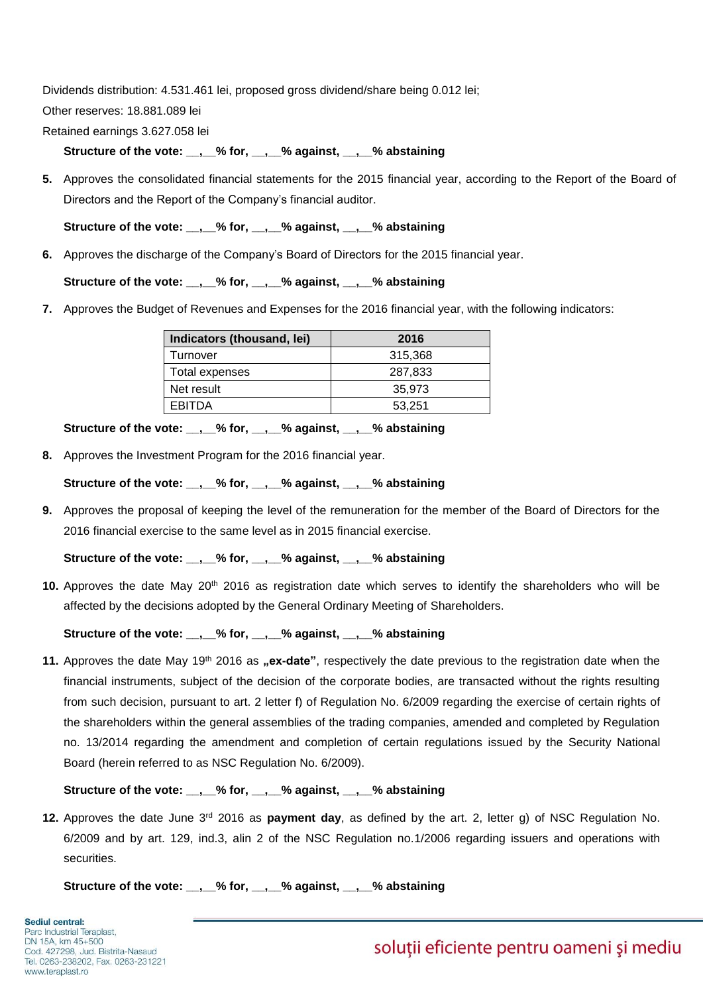Dividends distribution: 4.531.461 lei, proposed gross dividend/share being 0.012 lei;

Other reserves: 18.881.089 lei

Retained earnings 3.627.058 lei

**Structure of the vote: \_\_,\_\_% for, \_\_,\_\_% against, \_\_,\_\_% abstaining**

**5.** Approves the consolidated financial statements for the 2015 financial year, according to the Report of the Board of Directors and the Report of the Company's financial auditor.

**Structure of the vote: \_\_,\_\_% for, \_\_,\_\_% against, \_\_,\_\_% abstaining**

**6.** Approves the discharge of the Company's Board of Directors for the 2015 financial year.

**Structure of the vote: \_\_,\_\_% for, \_\_,\_\_% against, \_\_,\_\_% abstaining**

**7.** Approves the Budget of Revenues and Expenses for the 2016 financial year, with the following indicators:

| Indicators (thousand, lei) | 2016    |
|----------------------------|---------|
| Turnover                   | 315,368 |
| Total expenses             | 287,833 |
| Net result                 | 35.973  |
| FRITDA                     | 53.251  |

**Structure of the vote: \_\_,\_\_% for, \_\_,\_\_% against, \_\_,\_\_% abstaining**

**8.** Approves the Investment Program for the 2016 financial year.

Structure of the vote: , % for, , % against, , % abstaining

**9.** Approves the proposal of keeping the level of the remuneration for the member of the Board of Directors for the 2016 financial exercise to the same level as in 2015 financial exercise.

**Structure of the vote: \_\_,\_\_% for, \_\_,\_\_% against, \_\_,\_\_% abstaining**

**10.** Approves the date May 20<sup>th</sup> 2016 as registration date which serves to identify the shareholders who will be affected by the decisions adopted by the General Ordinary Meeting of Shareholders.

**Structure of the vote: \_\_,\_\_% for, \_\_,\_\_% against, \_\_,\_\_% abstaining**

**11.** Approves the date May 19<sup>th</sup> 2016 as **"ex-date**", respectively the date previous to the registration date when the financial instruments, subject of the decision of the corporate bodies, are transacted without the rights resulting from such decision, pursuant to art. 2 letter f) of Regulation No. 6/2009 regarding the exercise of certain rights of the shareholders within the general assemblies of the trading companies, amended and completed by Regulation no. 13/2014 regarding the amendment and completion of certain regulations issued by the Security National Board (herein referred to as NSC Regulation No. 6/2009).

Structure of the vote: , % for, , % against, , % abstaining

**12.** Approves the date June 3<sup>rd</sup> 2016 as **payment day**, as defined by the art. 2, letter g) of NSC Regulation No. 6/2009 and by art. 129, ind.3, alin 2 of the NSC Regulation no.1/2006 regarding issuers and operations with securities.

Structure of the vote: , % for, , % against, , % abstaining